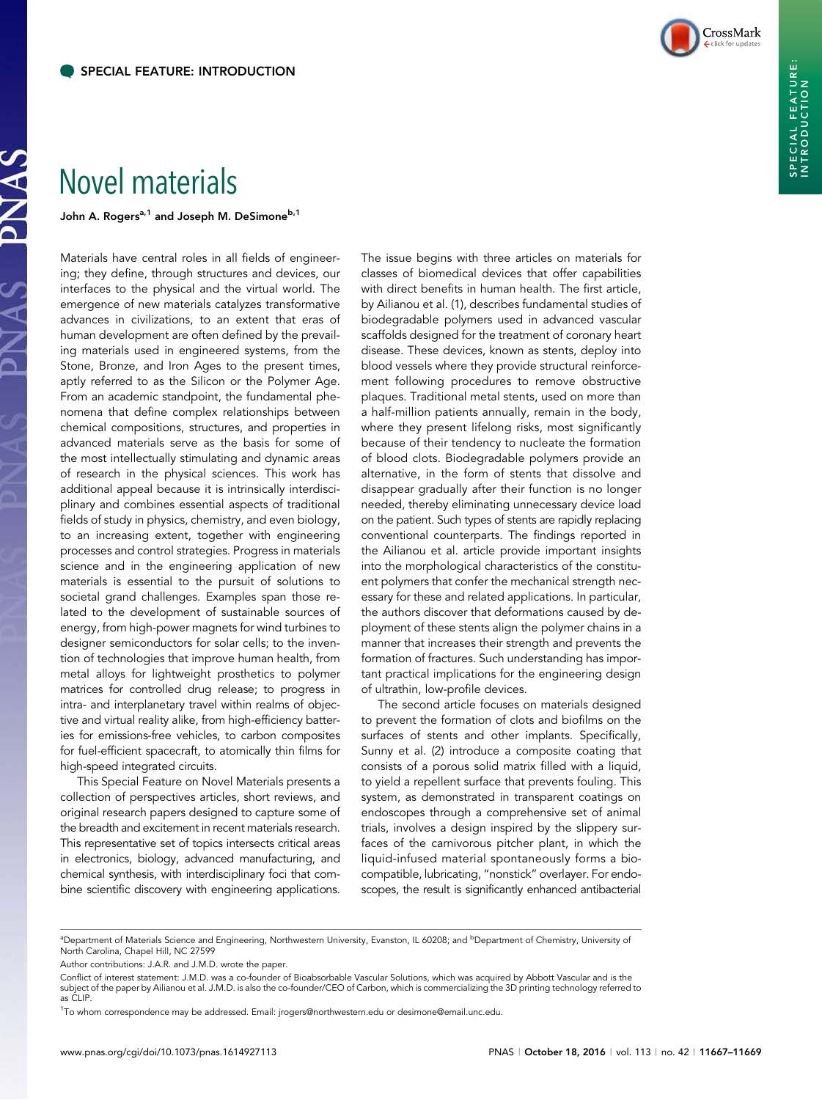

## Novel materials

John A. Rogers<sup>a,1</sup> and Joseph M. DeSimone<sup>b,1</sup>

Materials have central roles in all fields of engineering; they define, through structures and devices, our interfaces to the physical and the virtual world. The emergence of new materials catalyzes transformative advances in civilizations, to an extent that eras of human development are often defined by the prevailing materials used in engineered systems, from the Stone, Bronze, and Iron Ages to the present times, aptly referred to as the Silicon or the Polymer Age. From an academic standpoint, the fundamental phenomena that define complex relationships between chemical compositions, structures, and properties in advanced materials serve as the basis for some of the most intellectually stimulating and dynamic areas of research in the physical sciences. This work has additional appeal because it is intrinsically interdisciplinary and combines essential aspects of traditional fields of study in physics, chemistry, and even biology, to an increasing extent, together with engineering processes and control strategies. Progress in materials science and in the engineering application of new materials is essential to the pursuit of solutions to societal grand challenges. Examples span those related to the development of sustainable sources of energy, from high-power magnets for wind turbines to designer semiconductors for solar cells; to the invention of technologies that improve human health, from metal alloys for lightweight prosthetics to polymer matrices for controlled drug release; to progress in intra- and interplanetary travel within realms of objective and virtual reality alike, from high-efficiency batteries for emissions-free vehicles, to carbon composites for fuel-efficient spacecraft, to atomically thin films for high-speed integrated circuits.

This Special Feature on Novel Materials presents a collection of perspectives articles, short reviews, and original research papers designed to capture some of the breadth and excitement in recent materials research. This representative set of topics intersects critical areas in electronics, biology, advanced manufacturing, and chemical synthesis, with interdisciplinary foci that combine scientific discovery with engineering applications.

The issue begins with three articles on materials for classes of biomedical devices that offer capabilities with direct benefits in human health. The first article, by Ailianou et al. (1), describes fundamental studies of biodegradable polymers used in advanced vascular scaffolds designed for the treatment of coronary heart disease. These devices, known as stents, deploy into blood vessels where they provide structural reinforcement following procedures to remove obstructive plaques. Traditional metal stents, used on more than a half-million patients annually, remain in the body, where they present lifelong risks, most significantly because of their tendency to nucleate the formation of blood clots. Biodegradable polymers provide an alternative, in the form of stents that dissolve and disappear gradually after their function is no longer needed, thereby eliminating unnecessary device load on the patient. Such types of stents are rapidly replacing conventional counterparts. The findings reported in the Ailianou et al. article provide important insights into the morphological characteristics of the constituent polymers that confer the mechanical strength necessary for these and related applications. In particular, the authors discover that deformations caused by deployment of these stents align the polymer chains in a manner that increases their strength and prevents the formation of fractures. Such understanding has important practical implications for the engineering design of ultrathin, low-profile devices.

The second article focuses on materials designed to prevent the formation of clots and biofilms on the surfaces of stents and other implants. Specifically, Sunny et al. (2) introduce a composite coating that consists of a porous solid matrix filled with a liquid, to yield a repellent surface that prevents fouling. This system, as demonstrated in transparent coatings on endoscopes through a comprehensive set of animal trials, involves a design inspired by the slippery surfaces of the carnivorous pitcher plant, in which the liquid-infused material spontaneously forms a biocompatible, lubricating, "nonstick" overlayer. For endoscopes, the result is significantly enhanced antibacterial

<sup>&</sup>lt;sup>a</sup>Department of Materials Science and Engineering, Northwestern University, Evanston, IL 60208; and <sup>b</sup>Department of Chemistry, University of North Carolina, Chapel Hill, NC 27599

Author contributions: J.A.R. and J.M.D. wrote the paper.

Conflict of interest statement: J.M.D. was a co-founder of Bioabsorbable Vascular Solutions, which was acquired by Abbott Vascular and is the subject of the paper by Ailianou et al. J.M.D. is also the co-founder/CEO of Carbon, which is commercializing the 3D printing technology referred to as CLIP.

<sup>1</sup> To whom correspondence may be addressed. Email: [jrogers@northwestern.edu](mailto:jrogers@northwestern.edu) or [desimone@email.unc.edu](mailto:desimone@email.unc.edu).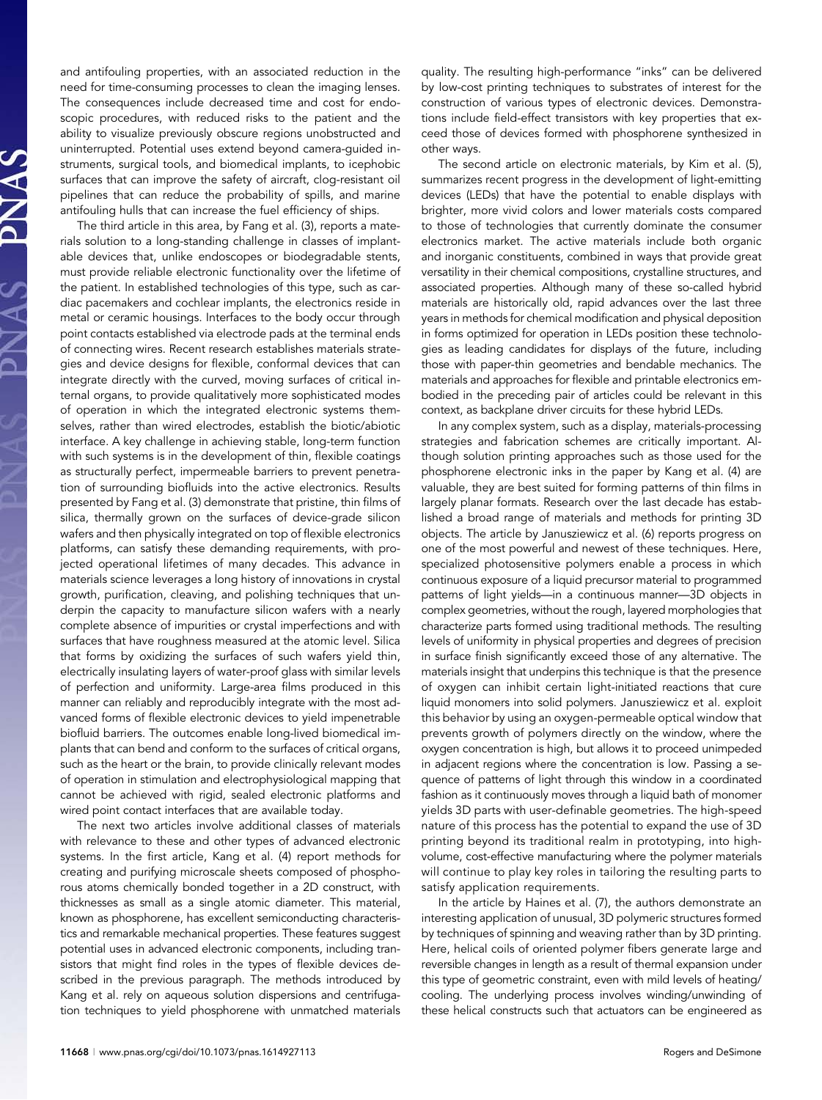and antifouling properties, with an associated reduction in the need for time-consuming processes to clean the imaging lenses. The consequences include decreased time and cost for endoscopic procedures, with reduced risks to the patient and the ability to visualize previously obscure regions unobstructed and uninterrupted. Potential uses extend beyond camera-guided instruments, surgical tools, and biomedical implants, to icephobic surfaces that can improve the safety of aircraft, clog-resistant oil pipelines that can reduce the probability of spills, and marine antifouling hulls that can increase the fuel efficiency of ships.

The third article in this area, by Fang et al. (3), reports a materials solution to a long-standing challenge in classes of implantable devices that, unlike endoscopes or biodegradable stents, must provide reliable electronic functionality over the lifetime of the patient. In established technologies of this type, such as cardiac pacemakers and cochlear implants, the electronics reside in metal or ceramic housings. Interfaces to the body occur through point contacts established via electrode pads at the terminal ends of connecting wires. Recent research establishes materials strategies and device designs for flexible, conformal devices that can integrate directly with the curved, moving surfaces of critical internal organs, to provide qualitatively more sophisticated modes of operation in which the integrated electronic systems themselves, rather than wired electrodes, establish the biotic/abiotic interface. A key challenge in achieving stable, long-term function with such systems is in the development of thin, flexible coatings as structurally perfect, impermeable barriers to prevent penetration of surrounding biofluids into the active electronics. Results presented by Fang et al. (3) demonstrate that pristine, thin films of silica, thermally grown on the surfaces of device-grade silicon wafers and then physically integrated on top of flexible electronics platforms, can satisfy these demanding requirements, with projected operational lifetimes of many decades. This advance in materials science leverages a long history of innovations in crystal growth, purification, cleaving, and polishing techniques that underpin the capacity to manufacture silicon wafers with a nearly complete absence of impurities or crystal imperfections and with surfaces that have roughness measured at the atomic level. Silica that forms by oxidizing the surfaces of such wafers yield thin, electrically insulating layers of water-proof glass with similar levels of perfection and uniformity. Large-area films produced in this manner can reliably and reproducibly integrate with the most advanced forms of flexible electronic devices to yield impenetrable biofluid barriers. The outcomes enable long-lived biomedical implants that can bend and conform to the surfaces of critical organs, such as the heart or the brain, to provide clinically relevant modes of operation in stimulation and electrophysiological mapping that cannot be achieved with rigid, sealed electronic platforms and wired point contact interfaces that are available today.

The next two articles involve additional classes of materials with relevance to these and other types of advanced electronic systems. In the first article, Kang et al. (4) report methods for creating and purifying microscale sheets composed of phosphorous atoms chemically bonded together in a 2D construct, with thicknesses as small as a single atomic diameter. This material, known as phosphorene, has excellent semiconducting characteristics and remarkable mechanical properties. These features suggest potential uses in advanced electronic components, including transistors that might find roles in the types of flexible devices described in the previous paragraph. The methods introduced by Kang et al. rely on aqueous solution dispersions and centrifugation techniques to yield phosphorene with unmatched materials

quality. The resulting high-performance "inks" can be delivered by low-cost printing techniques to substrates of interest for the construction of various types of electronic devices. Demonstrations include field-effect transistors with key properties that exceed those of devices formed with phosphorene synthesized in other ways.

The second article on electronic materials, by Kim et al. (5), summarizes recent progress in the development of light-emitting devices (LEDs) that have the potential to enable displays with brighter, more vivid colors and lower materials costs compared to those of technologies that currently dominate the consumer electronics market. The active materials include both organic and inorganic constituents, combined in ways that provide great versatility in their chemical compositions, crystalline structures, and associated properties. Although many of these so-called hybrid materials are historically old, rapid advances over the last three years in methods for chemical modification and physical deposition in forms optimized for operation in LEDs position these technologies as leading candidates for displays of the future, including those with paper-thin geometries and bendable mechanics. The materials and approaches for flexible and printable electronics embodied in the preceding pair of articles could be relevant in this context, as backplane driver circuits for these hybrid LEDs.

In any complex system, such as a display, materials-processing strategies and fabrication schemes are critically important. Although solution printing approaches such as those used for the phosphorene electronic inks in the paper by Kang et al. (4) are valuable, they are best suited for forming patterns of thin films in largely planar formats. Research over the last decade has established a broad range of materials and methods for printing 3D objects. The article by Janusziewicz et al. (6) reports progress on one of the most powerful and newest of these techniques. Here, specialized photosensitive polymers enable a process in which continuous exposure of a liquid precursor material to programmed patterns of light yields—in a continuous manner—3D objects in complex geometries, without the rough, layered morphologies that characterize parts formed using traditional methods. The resulting levels of uniformity in physical properties and degrees of precision in surface finish significantly exceed those of any alternative. The materials insight that underpins this technique is that the presence of oxygen can inhibit certain light-initiated reactions that cure liquid monomers into solid polymers. Janusziewicz et al. exploit this behavior by using an oxygen-permeable optical window that prevents growth of polymers directly on the window, where the oxygen concentration is high, but allows it to proceed unimpeded in adjacent regions where the concentration is low. Passing a sequence of patterns of light through this window in a coordinated fashion as it continuously moves through a liquid bath of monomer yields 3D parts with user-definable geometries. The high-speed nature of this process has the potential to expand the use of 3D printing beyond its traditional realm in prototyping, into highvolume, cost-effective manufacturing where the polymer materials will continue to play key roles in tailoring the resulting parts to satisfy application requirements.

In the article by Haines et al. (7), the authors demonstrate an interesting application of unusual, 3D polymeric structures formed by techniques of spinning and weaving rather than by 3D printing. Here, helical coils of oriented polymer fibers generate large and reversible changes in length as a result of thermal expansion under this type of geometric constraint, even with mild levels of heating/ cooling. The underlying process involves winding/unwinding of these helical constructs such that actuators can be engineered as